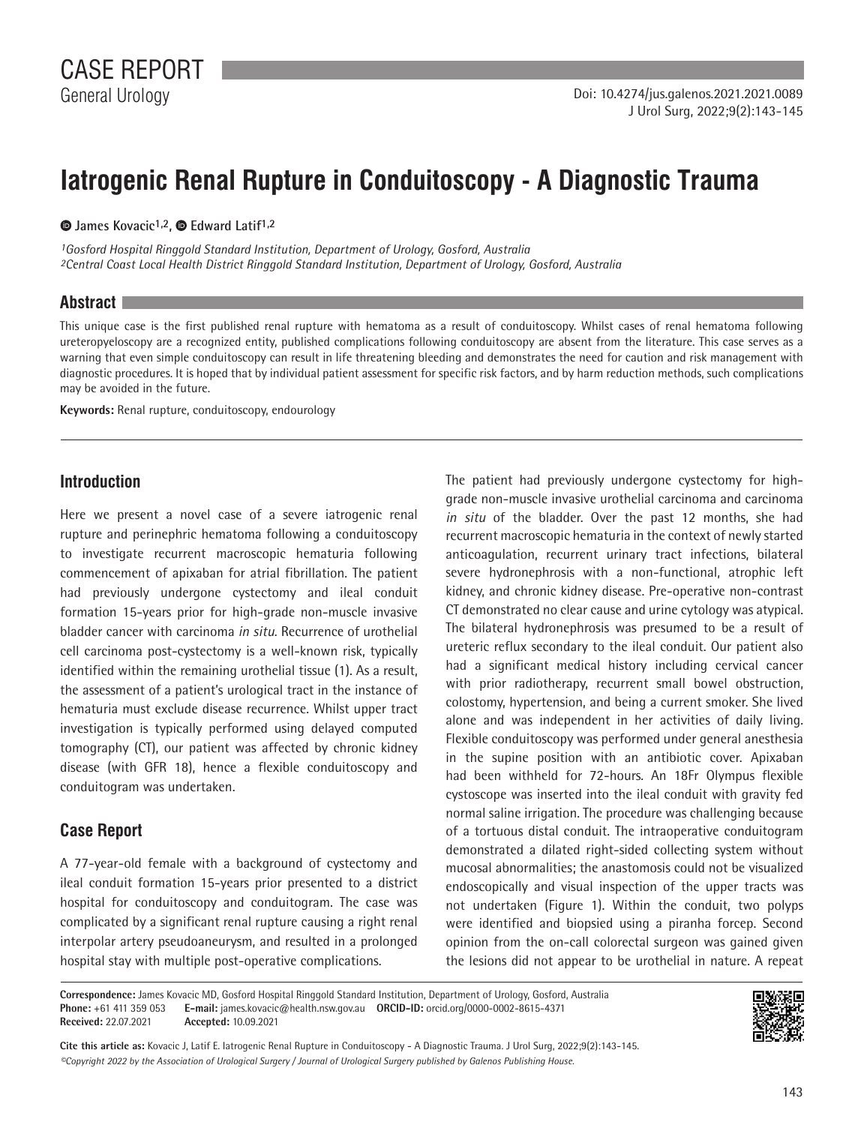# **Iatrogenic Renal Rupture in Conduitoscopy - A Diagnostic Trauma**

**James Kovacic1,2,Edward Latif1,2**

*1Gosford Hospital Ringgold Standard Institution, Department of Urology, Gosford, Australia 2Central Coast Local Health District Ringgold Standard Institution, Department of Urology, Gosford, Australia*

### **Abstract**

This unique case is the first published renal rupture with hematoma as a result of conduitoscopy. Whilst cases of renal hematoma following ureteropyeloscopy are a recognized entity, published complications following conduitoscopy are absent from the literature. This case serves as a warning that even simple conduitoscopy can result in life threatening bleeding and demonstrates the need for caution and risk management with diagnostic procedures. It is hoped that by individual patient assessment for specific risk factors, and by harm reduction methods, such complications may be avoided in the future.

**Keywords:** Renal rupture, conduitoscopy, endourology

## **Introduction**

Here we present a novel case of a severe iatrogenic renal rupture and perinephric hematoma following a conduitoscopy to investigate recurrent macroscopic hematuria following commencement of apixaban for atrial fibrillation. The patient had previously undergone cystectomy and ileal conduit formation 15-years prior for high-grade non-muscle invasive bladder cancer with carcinoma *in situ*. Recurrence of urothelial cell carcinoma post-cystectomy is a well-known risk, typically identified within the remaining urothelial tissue (1). As a result, the assessment of a patient's urological tract in the instance of hematuria must exclude disease recurrence. Whilst upper tract investigation is typically performed using delayed computed tomography (CT), our patient was affected by chronic kidney disease (with GFR 18), hence a flexible conduitoscopy and conduitogram was undertaken.

# **Case Report**

A 77-year-old female with a background of cystectomy and ileal conduit formation 15-years prior presented to a district hospital for conduitoscopy and conduitogram. The case was complicated by a significant renal rupture causing a right renal interpolar artery pseudoaneurysm, and resulted in a prolonged hospital stay with multiple post-operative complications.

The patient had previously undergone cystectomy for highgrade non-muscle invasive urothelial carcinoma and carcinoma *in situ* of the bladder. Over the past 12 months, she had recurrent macroscopic hematuria in the context of newly started anticoagulation, recurrent urinary tract infections, bilateral severe hydronephrosis with a non-functional, atrophic left kidney, and chronic kidney disease. Pre-operative non-contrast CT demonstrated no clear cause and urine cytology was atypical. The bilateral hydronephrosis was presumed to be a result of ureteric reflux secondary to the ileal conduit. Our patient also had a significant medical history including cervical cancer with prior radiotherapy, recurrent small bowel obstruction, colostomy, hypertension, and being a current smoker. She lived alone and was independent in her activities of daily living. Flexible conduitoscopy was performed under general anesthesia in the supine position with an antibiotic cover. Apixaban had been withheld for 72-hours. An 18Fr Olympus flexible cystoscope was inserted into the ileal conduit with gravity fed normal saline irrigation. The procedure was challenging because of a tortuous distal conduit. The intraoperative conduitogram demonstrated a dilated right-sided collecting system without mucosal abnormalities; the anastomosis could not be visualized endoscopically and visual inspection of the upper tracts was not undertaken (Figure 1). Within the conduit, two polyps were identified and biopsied using a piranha forcep. Second opinion from the on-call colorectal surgeon was gained given the lesions did not appear to be urothelial in nature. A repeat

**Correspondence:** James Kovacic MD, Gosford Hospital Ringgold Standard Institution, Department of Urology, Gosford, Australia **Phone:** +61 411 359 053 **E-mail:** james.kovacic@health.nsw.gov.au **ORCID-ID:** orcid.org/0000-0002-8615-4371 **Received:** 22.07.2021 **Accepted:** 10.09.2021



*©Copyright 2022 by the Association of Urological Surgery / Journal of Urological Surgery published by Galenos Publishing House.* **Cite this article as:** Kovacic J, Latif E. Iatrogenic Renal Rupture in Conduitoscopy - A Diagnostic Trauma. J Urol Surg, 2022;9(2):143-145.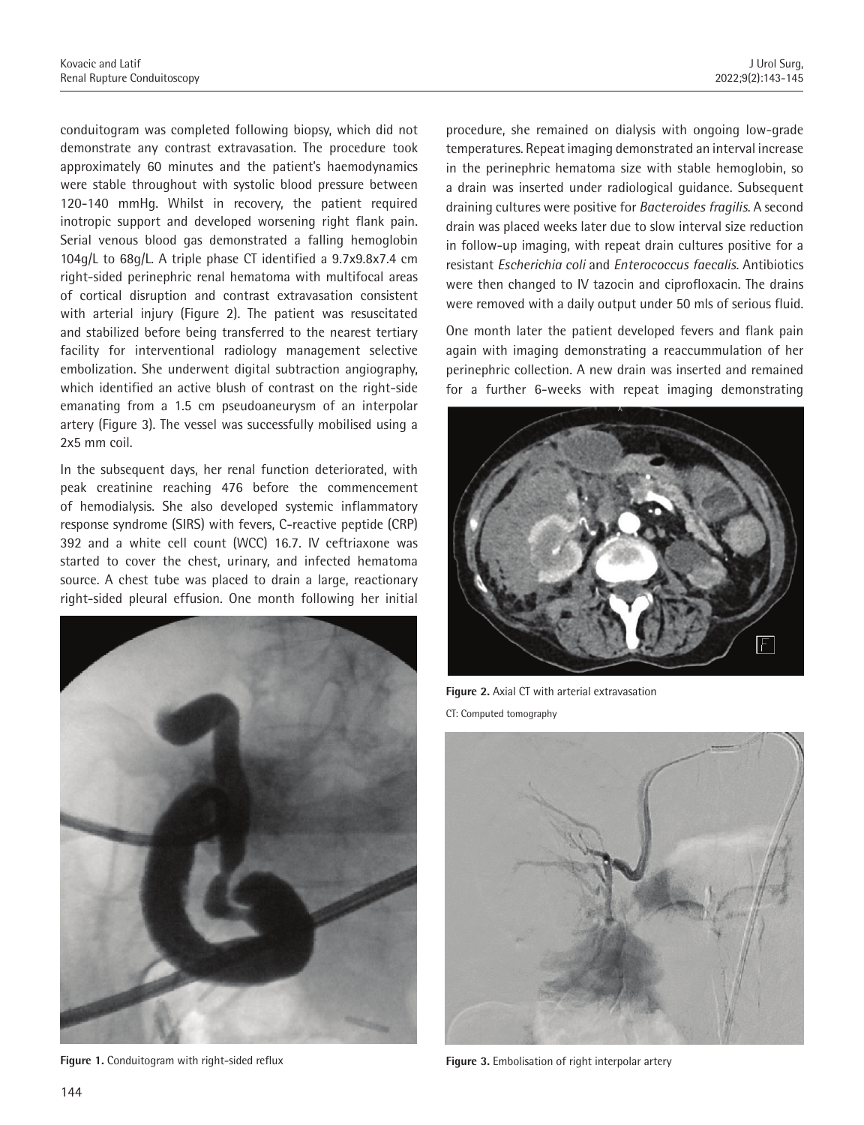conduitogram was completed following biopsy, which did not demonstrate any contrast extravasation. The procedure took approximately 60 minutes and the patient's haemodynamics were stable throughout with systolic blood pressure between 120-140 mmHg. Whilst in recovery, the patient required inotropic support and developed worsening right flank pain. Serial venous blood gas demonstrated a falling hemoglobin 104g/L to 68g/L. A triple phase CT identified a 9.7x9.8x7.4 cm right-sided perinephric renal hematoma with multifocal areas of cortical disruption and contrast extravasation consistent with arterial injury (Figure 2). The patient was resuscitated and stabilized before being transferred to the nearest tertiary facility for interventional radiology management selective embolization. She underwent digital subtraction angiography, which identified an active blush of contrast on the right-side emanating from a 1.5 cm pseudoaneurysm of an interpolar artery (Figure 3). The vessel was successfully mobilised using a 2x5 mm coil.

In the subsequent days, her renal function deteriorated, with peak creatinine reaching 476 before the commencement of hemodialysis. She also developed systemic inflammatory response syndrome (SIRS) with fevers, C-reactive peptide (CRP) 392 and a white cell count (WCC) 16.7. IV ceftriaxone was started to cover the chest, urinary, and infected hematoma source. A chest tube was placed to drain a large, reactionary right-sided pleural effusion. One month following her initial



**Figure 1.** Conduitogram with right-sided reflux

procedure, she remained on dialysis with ongoing low-grade temperatures. Repeat imaging demonstrated an interval increase in the perinephric hematoma size with stable hemoglobin, so a drain was inserted under radiological guidance. Subsequent draining cultures were positive for *Bacteroides fragilis*. A second drain was placed weeks later due to slow interval size reduction in follow-up imaging, with repeat drain cultures positive for a resistant *Escherichia coli* and *Enterococcus faecalis*. Antibiotics were then changed to IV tazocin and ciprofloxacin. The drains were removed with a daily output under 50 mls of serious fluid.

One month later the patient developed fevers and flank pain again with imaging demonstrating a reaccummulation of her perinephric collection. A new drain was inserted and remained for a further 6-weeks with repeat imaging demonstrating



**Figure 2.** Axial CT with arterial extravasation CT: Computed tomography



**Figure 3.** Embolisation of right interpolar artery